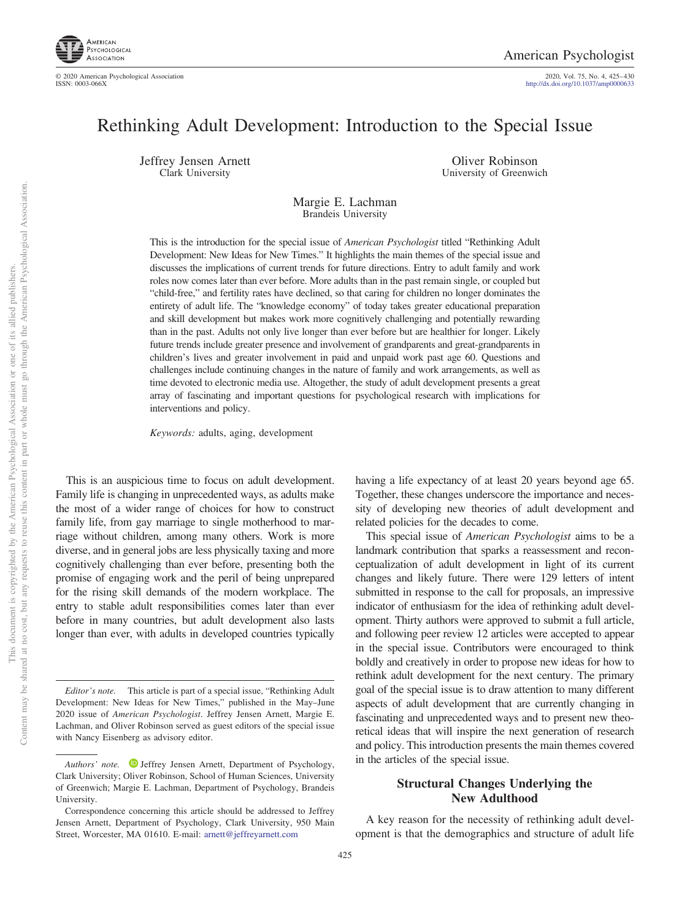

2020, Vol. 75, No. 4, 425-430<br>http://dx.doi.org[/10.1037/amp0000633](http://dx.doi.org/10.1037/amp0000633)

# Rethinking Adult Development: Introduction to the Special Issue

Jeffrey Jensen Arnett Clark University

Oliver Robinson University of Greenwich

Margie E. Lachman Brandeis University

This is the introduction for the special issue of *American Psychologist* titled "Rethinking Adult Development: New Ideas for New Times." It highlights the main themes of the special issue and discusses the implications of current trends for future directions. Entry to adult family and work roles now comes later than ever before. More adults than in the past remain single, or coupled but "child-free," and fertility rates have declined, so that caring for children no longer dominates the entirety of adult life. The "knowledge economy" of today takes greater educational preparation and skill development but makes work more cognitively challenging and potentially rewarding than in the past. Adults not only live longer than ever before but are healthier for longer. Likely future trends include greater presence and involvement of grandparents and great-grandparents in children's lives and greater involvement in paid and unpaid work past age 60. Questions and challenges include continuing changes in the nature of family and work arrangements, as well as time devoted to electronic media use. Altogether, the study of adult development presents a great array of fascinating and important questions for psychological research with implications for interventions and policy.

*Keywords:* adults, aging, development

This is an auspicious time to focus on adult development. Family life is changing in unprecedented ways, as adults make the most of a wider range of choices for how to construct family life, from gay marriage to single motherhood to marriage without children, among many others. Work is more diverse, and in general jobs are less physically taxing and more cognitively challenging than ever before, presenting both the promise of engaging work and the peril of being unprepared for the rising skill demands of the modern workplace. The entry to stable adult responsibilities comes later than ever before in many countries, but adult development also lasts longer than ever, with adults in developed countries typically

having a life expectancy of at least 20 years beyond age 65. Together, these changes underscore the importance and necessity of developing new theories of adult development and related policies for the decades to come.

This special issue of *American Psychologist* aims to be a landmark contribution that sparks a reassessment and reconceptualization of adult development in light of its current changes and likely future. There were 129 letters of intent submitted in response to the call for proposals, an impressive indicator of enthusiasm for the idea of rethinking adult development. Thirty authors were approved to submit a full article, and following peer review 12 articles were accepted to appear in the special issue. Contributors were encouraged to think boldly and creatively in order to propose new ideas for how to rethink adult development for the next century. The primary goal of the special issue is to draw attention to many different aspects of adult development that are currently changing in fascinating and unprecedented ways and to present new theoretical ideas that will inspire the next generation of research and policy. This introduction presents the main themes covered in the articles of the special issue.

## **Structural Changes Underlying the New Adulthood**

A key reason for the necessity of rethinking adult development is that the demographics and structure of adult life

*Editor's note.* This article is part of a special issue, "Rethinking Adult Development: New Ideas for New Times," published in the May–June 2020 issue of *American Psychologist*. Jeffrey Jensen Arnett, Margie E. Lachman, and Oliver Robinson served as guest editors of the special issue with Nancy Eisenberg as advisory editor.

*Authors' note.* D [Jeffrey Jensen Arnett,](https://orcid.org/0000-0002-6968-7168) Department of Psychology, Clark University; Oliver Robinson, School of Human Sciences, University of Greenwich; Margie E. Lachman, Department of Psychology, Brandeis University.

Correspondence concerning this article should be addressed to Jeffrey Jensen Arnett, Department of Psychology, Clark University, 950 Main Street, Worcester, MA 01610. E-mail: [arnett@jeffreyarnett.com](mailto:arnett@jeffreyarnett.com)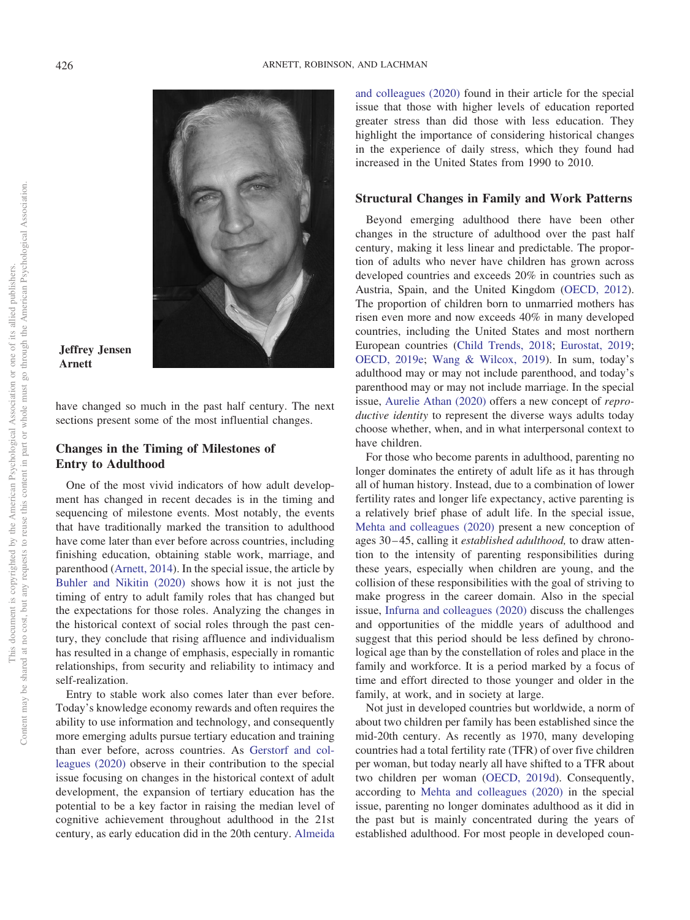

#### **Jeffrey Jensen Arnett**

have changed so much in the past half century. The next sections present some of the most influential changes.

## **Changes in the Timing of Milestones of Entry to Adulthood**

One of the most vivid indicators of how adult development has changed in recent decades is in the timing and sequencing of milestone events. Most notably, the events that have traditionally marked the transition to adulthood have come later than ever before across countries, including finishing education, obtaining stable work, marriage, and parenthood [\(Arnett, 2014\)](#page-5-0). In the special issue, the article by [Buhler and Nikitin \(2020\)](#page-5-1) shows how it is not just the timing of entry to adult family roles that has changed but the expectations for those roles. Analyzing the changes in the historical context of social roles through the past century, they conclude that rising affluence and individualism has resulted in a change of emphasis, especially in romantic relationships, from security and reliability to intimacy and self-realization.

Entry to stable work also comes later than ever before. Today's knowledge economy rewards and often requires the ability to use information and technology, and consequently more emerging adults pursue tertiary education and training than ever before, across countries. As [Gerstorf and col](#page-5-2)[leagues \(2020\)](#page-5-2) observe in their contribution to the special issue focusing on changes in the historical context of adult development, the expansion of tertiary education has the potential to be a key factor in raising the median level of cognitive achievement throughout adulthood in the 21st century, as early education did in the 20th century. [Almeida](#page-5-3) [and colleagues \(2020\)](#page-5-3) found in their article for the special issue that those with higher levels of education reported greater stress than did those with less education. They highlight the importance of considering historical changes in the experience of daily stress, which they found had increased in the United States from 1990 to 2010.

#### **Structural Changes in Family and Work Patterns**

Beyond emerging adulthood there have been other changes in the structure of adulthood over the past half century, making it less linear and predictable. The proportion of adults who never have children has grown across developed countries and exceeds 20% in countries such as Austria, Spain, and the United Kingdom [\(OECD, 2012\)](#page-5-4). The proportion of children born to unmarried mothers has risen even more and now exceeds 40% in many developed countries, including the United States and most northern European countries [\(Child Trends, 2018;](#page-5-5) [Eurostat, 2019;](#page-5-6) [OECD, 2019e;](#page-5-7) [Wang & Wilcox, 2019\)](#page-5-8). In sum, today's adulthood may or may not include parenthood, and today's parenthood may or may not include marriage. In the special issue, [Aurelie Athan \(2020\)](#page-5-9) offers a new concept of *reproductive identity* to represent the diverse ways adults today choose whether, when, and in what interpersonal context to have children.

For those who become parents in adulthood, parenting no longer dominates the entirety of adult life as it has through all of human history. Instead, due to a combination of lower fertility rates and longer life expectancy, active parenting is a relatively brief phase of adult life. In the special issue, [Mehta and colleagues \(2020\)](#page-5-10) present a new conception of ages 30 – 45, calling it *established adulthood,* to draw attention to the intensity of parenting responsibilities during these years, especially when children are young, and the collision of these responsibilities with the goal of striving to make progress in the career domain. Also in the special issue, [Infurna and colleagues \(2020\)](#page-5-11) discuss the challenges and opportunities of the middle years of adulthood and suggest that this period should be less defined by chronological age than by the constellation of roles and place in the family and workforce. It is a period marked by a focus of time and effort directed to those younger and older in the family, at work, and in society at large.

Not just in developed countries but worldwide, a norm of about two children per family has been established since the mid-20th century. As recently as 1970, many developing countries had a total fertility rate (TFR) of over five children per woman, but today nearly all have shifted to a TFR about two children per woman [\(OECD, 2019d\)](#page-5-12). Consequently, according to [Mehta and colleagues \(2020\)](#page-5-10) in the special issue, parenting no longer dominates adulthood as it did in the past but is mainly concentrated during the years of established adulthood. For most people in developed coun-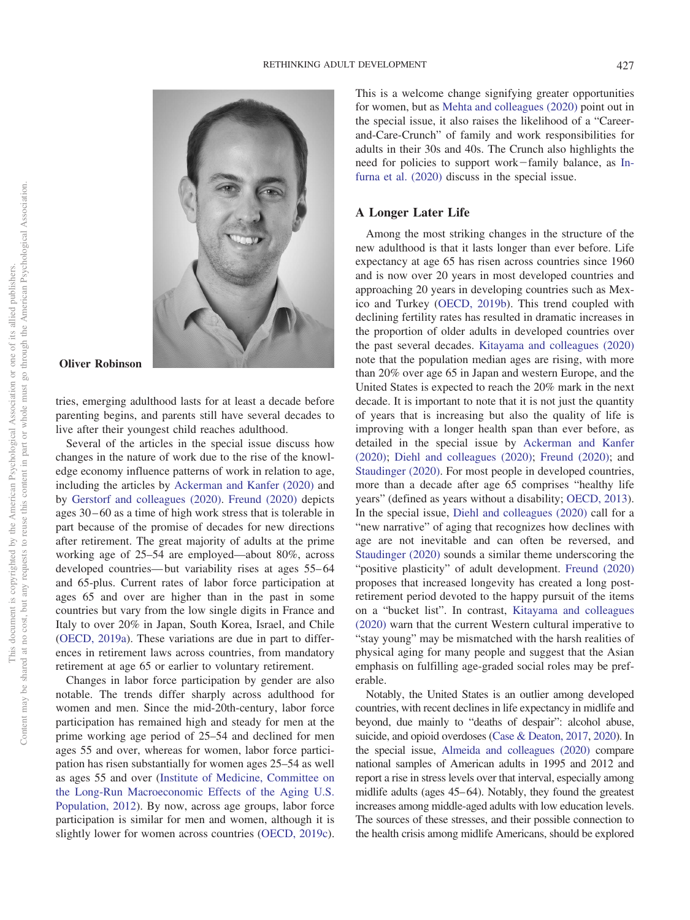

#### **Oliver Robinson**

tries, emerging adulthood lasts for at least a decade before parenting begins, and parents still have several decades to live after their youngest child reaches adulthood.

Several of the articles in the special issue discuss how changes in the nature of work due to the rise of the knowledge economy influence patterns of work in relation to age, including the articles by [Ackerman and Kanfer \(2020\)](#page-5-13) and by [Gerstorf and colleagues \(2020\).](#page-5-2) [Freund \(2020\)](#page-5-14) depicts ages 30 – 60 as a time of high work stress that is tolerable in part because of the promise of decades for new directions after retirement. The great majority of adults at the prime working age of 25–54 are employed—about 80%, across developed countries— but variability rises at ages 55–64 and 65-plus. Current rates of labor force participation at ages 65 and over are higher than in the past in some countries but vary from the low single digits in France and Italy to over 20% in Japan, South Korea, Israel, and Chile [\(OECD, 2019a\)](#page-5-15). These variations are due in part to differences in retirement laws across countries, from mandatory retirement at age 65 or earlier to voluntary retirement.

Changes in labor force participation by gender are also notable. The trends differ sharply across adulthood for women and men. Since the mid-20th-century, labor force participation has remained high and steady for men at the prime working age period of 25–54 and declined for men ages 55 and over, whereas for women, labor force participation has risen substantially for women ages 25–54 as well as ages 55 and over [\(Institute of Medicine, Committee on](#page-5-16) [the Long-Run Macroeconomic Effects of the Aging U.S.](#page-5-16) [Population, 2012\)](#page-5-16). By now, across age groups, labor force participation is similar for men and women, although it is slightly lower for women across countries [\(OECD, 2019c\)](#page-5-17).

This is a welcome change signifying greater opportunities for women, but as [Mehta and colleagues \(2020\)](#page-5-10) point out in the special issue, it also raises the likelihood of a "Careerand-Care-Crunch" of family and work responsibilities for adults in their 30s and 40s. The Crunch also highlights the need for policies to support work-family balance, as [In](#page-5-11)[furna et al. \(2020\)](#page-5-11) discuss in the special issue.

### **A Longer Later Life**

Among the most striking changes in the structure of the new adulthood is that it lasts longer than ever before. Life expectancy at age 65 has risen across countries since 1960 and is now over 20 years in most developed countries and approaching 20 years in developing countries such as Mexico and Turkey [\(OECD, 2019b\)](#page-5-18). This trend coupled with declining fertility rates has resulted in dramatic increases in the proportion of older adults in developed countries over the past several decades. [Kitayama and colleagues \(2020\)](#page-5-19) note that the population median ages are rising, with more than 20% over age 65 in Japan and western Europe, and the United States is expected to reach the 20% mark in the next decade. It is important to note that it is not just the quantity of years that is increasing but also the quality of life is improving with a longer health span than ever before, as detailed in the special issue by [Ackerman and Kanfer](#page-5-13) [\(2020\);](#page-5-13) [Diehl and colleagues \(2020\);](#page-5-20) [Freund \(2020\);](#page-5-14) and [Staudinger \(2020\).](#page-5-21) For most people in developed countries, more than a decade after age 65 comprises "healthy life years" (defined as years without a disability; [OECD, 2013\)](#page-5-22). In the special issue, [Diehl and colleagues \(2020\)](#page-5-20) call for a "new narrative" of aging that recognizes how declines with age are not inevitable and can often be reversed, and [Staudinger \(2020\)](#page-5-21) sounds a similar theme underscoring the "positive plasticity" of adult development. [Freund \(2020\)](#page-5-14) proposes that increased longevity has created a long postretirement period devoted to the happy pursuit of the items on a "bucket list". In contrast, [Kitayama and colleagues](#page-5-19) [\(2020\)](#page-5-19) warn that the current Western cultural imperative to "stay young" may be mismatched with the harsh realities of physical aging for many people and suggest that the Asian emphasis on fulfilling age-graded social roles may be preferable.

Notably, the United States is an outlier among developed countries, with recent declines in life expectancy in midlife and beyond, due mainly to "deaths of despair": alcohol abuse, suicide, and opioid overdoses [\(Case & Deaton, 2017,](#page-5-23) [2020\)](#page-5-24). In the special issue, [Almeida and colleagues \(2020\)](#page-5-3) compare national samples of American adults in 1995 and 2012 and report a rise in stress levels over that interval, especially among midlife adults (ages 45–64). Notably, they found the greatest increases among middle-aged adults with low education levels. The sources of these stresses, and their possible connection to the health crisis among midlife Americans, should be explored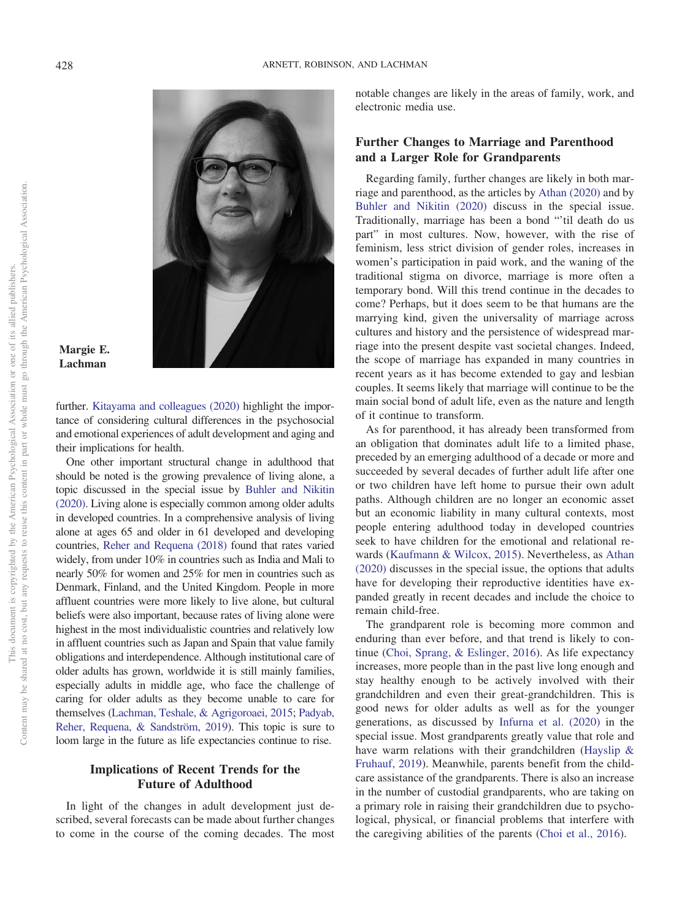

#### **Margie E. Lachman**

further. [Kitayama and colleagues \(2020\)](#page-5-19) highlight the importance of considering cultural differences in the psychosocial and emotional experiences of adult development and aging and their implications for health.

One other important structural change in adulthood that should be noted is the growing prevalence of living alone, a topic discussed in the special issue by [Buhler and Nikitin](#page-5-1) [\(2020\).](#page-5-1) Living alone is especially common among older adults in developed countries. In a comprehensive analysis of living alone at ages 65 and older in 61 developed and developing countries, [Reher and Requena \(2018\)](#page-5-25) found that rates varied widely, from under 10% in countries such as India and Mali to nearly 50% for women and 25% for men in countries such as Denmark, Finland, and the United Kingdom. People in more affluent countries were more likely to live alone, but cultural beliefs were also important, because rates of living alone were highest in the most individualistic countries and relatively low in affluent countries such as Japan and Spain that value family obligations and interdependence. Although institutional care of older adults has grown, worldwide it is still mainly families, especially adults in middle age, who face the challenge of caring for older adults as they become unable to care for themselves [\(Lachman, Teshale, & Agrigoroaei, 2015;](#page-5-26) [Padyab,](#page-5-27) [Reher, Requena, & Sandström, 2019\)](#page-5-27). This topic is sure to loom large in the future as life expectancies continue to rise.

## **Implications of Recent Trends for the Future of Adulthood**

In light of the changes in adult development just described, several forecasts can be made about further changes to come in the course of the coming decades. The most notable changes are likely in the areas of family, work, and electronic media use.

## **Further Changes to Marriage and Parenthood and a Larger Role for Grandparents**

Regarding family, further changes are likely in both marriage and parenthood, as the articles by [Athan \(2020\)](#page-5-9) and by [Buhler and Nikitin \(2020\)](#page-5-1) discuss in the special issue. Traditionally, marriage has been a bond "'til death do us part" in most cultures. Now, however, with the rise of feminism, less strict division of gender roles, increases in women's participation in paid work, and the waning of the traditional stigma on divorce, marriage is more often a temporary bond. Will this trend continue in the decades to come? Perhaps, but it does seem to be that humans are the marrying kind, given the universality of marriage across cultures and history and the persistence of widespread marriage into the present despite vast societal changes. Indeed, the scope of marriage has expanded in many countries in recent years as it has become extended to gay and lesbian couples. It seems likely that marriage will continue to be the main social bond of adult life, even as the nature and length of it continue to transform.

As for parenthood, it has already been transformed from an obligation that dominates adult life to a limited phase, preceded by an emerging adulthood of a decade or more and succeeded by several decades of further adult life after one or two children have left home to pursue their own adult paths. Although children are no longer an economic asset but an economic liability in many cultural contexts, most people entering adulthood today in developed countries seek to have children for the emotional and relational rewards [\(Kaufmann & Wilcox, 2015\)](#page-5-28). Nevertheless, as [Athan](#page-5-9) [\(2020\)](#page-5-9) discusses in the special issue, the options that adults have for developing their reproductive identities have expanded greatly in recent decades and include the choice to remain child-free.

The grandparent role is becoming more common and enduring than ever before, and that trend is likely to continue [\(Choi, Sprang, & Eslinger, 2016\)](#page-5-29). As life expectancy increases, more people than in the past live long enough and stay healthy enough to be actively involved with their grandchildren and even their great-grandchildren. This is good news for older adults as well as for the younger generations, as discussed by [Infurna et al. \(2020\)](#page-5-11) in the special issue. Most grandparents greatly value that role and have warm relations with their grandchildren [\(Hayslip &](#page-5-30) [Fruhauf, 2019\)](#page-5-30). Meanwhile, parents benefit from the childcare assistance of the grandparents. There is also an increase in the number of custodial grandparents, who are taking on a primary role in raising their grandchildren due to psychological, physical, or financial problems that interfere with the caregiving abilities of the parents [\(Choi et al., 2016\)](#page-5-29).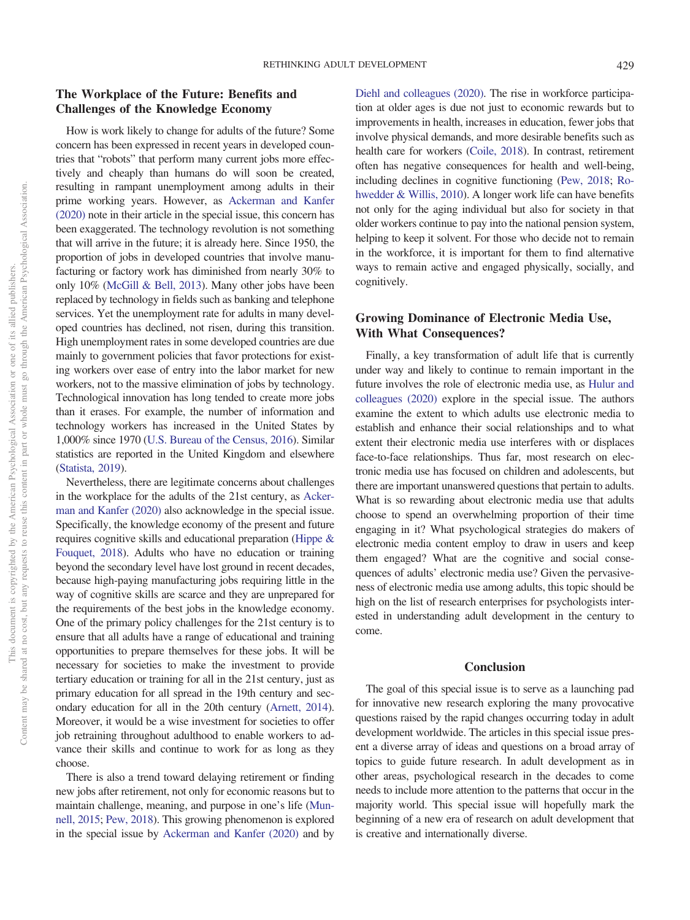Content may be shared at no cost, but any requests to reuse this content in part or whole must go through the American Psychological Association.

## **The Workplace of the Future: Benefits and Challenges of the Knowledge Economy**

How is work likely to change for adults of the future? Some concern has been expressed in recent years in developed countries that "robots" that perform many current jobs more effectively and cheaply than humans do will soon be created, resulting in rampant unemployment among adults in their prime working years. However, as [Ackerman and Kanfer](#page-5-13) [\(2020\)](#page-5-13) note in their article in the special issue, this concern has been exaggerated. The technology revolution is not something that will arrive in the future; it is already here. Since 1950, the proportion of jobs in developed countries that involve manufacturing or factory work has diminished from nearly 30% to only 10% [\(McGill & Bell, 2013\)](#page-5-31). Many other jobs have been replaced by technology in fields such as banking and telephone services. Yet the unemployment rate for adults in many developed countries has declined, not risen, during this transition. High unemployment rates in some developed countries are due mainly to government policies that favor protections for existing workers over ease of entry into the labor market for new workers, not to the massive elimination of jobs by technology. Technological innovation has long tended to create more jobs than it erases. For example, the number of information and technology workers has increased in the United States by 1,000% since 1970 [\(U.S. Bureau of the Census, 2016\)](#page-5-32). Similar statistics are reported in the United Kingdom and elsewhere [\(Statista, 2019\)](#page-5-33).

Nevertheless, there are legitimate concerns about challenges in the workplace for the adults of the 21st century, as [Acker](#page-5-13)[man and Kanfer \(2020\)](#page-5-13) also acknowledge in the special issue. Specifically, the knowledge economy of the present and future requires cognitive skills and educational preparation [\(Hippe &](#page-5-34) [Fouquet, 2018\)](#page-5-34). Adults who have no education or training beyond the secondary level have lost ground in recent decades, because high-paying manufacturing jobs requiring little in the way of cognitive skills are scarce and they are unprepared for the requirements of the best jobs in the knowledge economy. One of the primary policy challenges for the 21st century is to ensure that all adults have a range of educational and training opportunities to prepare themselves for these jobs. It will be necessary for societies to make the investment to provide tertiary education or training for all in the 21st century, just as primary education for all spread in the 19th century and secondary education for all in the 20th century [\(Arnett, 2014\)](#page-5-0). Moreover, it would be a wise investment for societies to offer job retraining throughout adulthood to enable workers to advance their skills and continue to work for as long as they choose.

There is also a trend toward delaying retirement or finding new jobs after retirement, not only for economic reasons but to maintain challenge, meaning, and purpose in one's life [\(Mun](#page-5-35)[nell, 2015;](#page-5-35) [Pew, 2018\)](#page-5-36). This growing phenomenon is explored in the special issue by [Ackerman and Kanfer \(2020\)](#page-5-13) and by

[Diehl and colleagues \(2020\).](#page-5-20) The rise in workforce participation at older ages is due not just to economic rewards but to improvements in health, increases in education, fewer jobs that involve physical demands, and more desirable benefits such as health care for workers [\(Coile, 2018\)](#page-5-37). In contrast, retirement often has negative consequences for health and well-being, including declines in cognitive functioning [\(Pew, 2018;](#page-5-36) [Ro](#page-5-38)[hwedder & Willis, 2010\)](#page-5-38). A longer work life can have benefits not only for the aging individual but also for society in that older workers continue to pay into the national pension system, helping to keep it solvent. For those who decide not to remain in the workforce, it is important for them to find alternative ways to remain active and engaged physically, socially, and cognitively.

## **Growing Dominance of Electronic Media Use, With What Consequences?**

Finally, a key transformation of adult life that is currently under way and likely to continue to remain important in the future involves the role of electronic media use, as [Hulur and](#page-5-39) [colleagues \(2020\)](#page-5-39) explore in the special issue. The authors examine the extent to which adults use electronic media to establish and enhance their social relationships and to what extent their electronic media use interferes with or displaces face-to-face relationships. Thus far, most research on electronic media use has focused on children and adolescents, but there are important unanswered questions that pertain to adults. What is so rewarding about electronic media use that adults choose to spend an overwhelming proportion of their time engaging in it? What psychological strategies do makers of electronic media content employ to draw in users and keep them engaged? What are the cognitive and social consequences of adults' electronic media use? Given the pervasiveness of electronic media use among adults, this topic should be high on the list of research enterprises for psychologists interested in understanding adult development in the century to come.

#### **Conclusion**

The goal of this special issue is to serve as a launching pad for innovative new research exploring the many provocative questions raised by the rapid changes occurring today in adult development worldwide. The articles in this special issue present a diverse array of ideas and questions on a broad array of topics to guide future research. In adult development as in other areas, psychological research in the decades to come needs to include more attention to the patterns that occur in the majority world. This special issue will hopefully mark the beginning of a new era of research on adult development that is creative and internationally diverse.